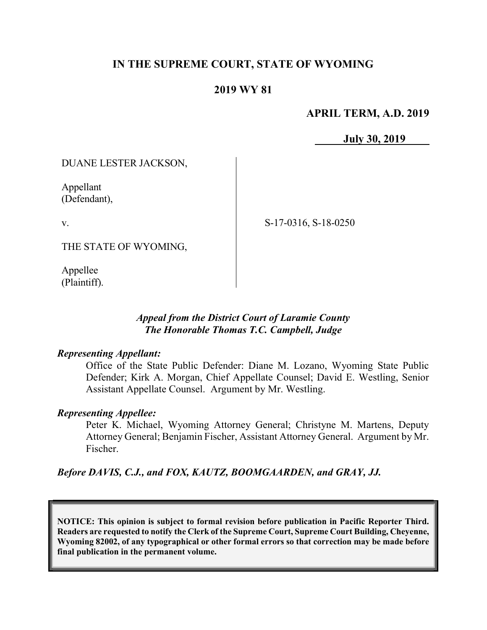# IN THE SUPREME COURT, STATE OF WYOMING

## 2019 WY 81

### APRIL TERM, A.D. 2019

July 30, 2019

DUANE LESTER JACKSON,

Appellant (Defendant),

v.

S-17-0316, S-18-0250

THE STATE OF WYOMING,

Appellee (Plaintiff).

### Appeal from the District Court of Laramie County The Honorable Thomas T.C. Campbell, Judge

#### Representing Appellant:

Office of the State Public Defender: Diane M. Lozano, Wyoming State Public Defender; Kirk A. Morgan, Chief Appellate Counsel; David E. Westling, Senior Assistant Appellate Counsel. Argument by Mr. Westling.

### Representing Appellee:

Peter K. Michael, Wyoming Attorney General; Christyne M. Martens, Deputy Attorney General; Benjamin Fischer, Assistant Attorney General. Argument by Mr. Fischer.

Before DAVIS, C.J., and FOX, KAUTZ, BOOMGAARDEN, and GRAY, JJ.

NOTICE: This opinion is subject to formal revision before publication in Pacific Reporter Third. Readers are requested to notify the Clerk of the Supreme Court, Supreme Court Building, Cheyenne, Wyoming 82002, of any typographical or other formal errors so that correction may be made before final publication in the permanent volume.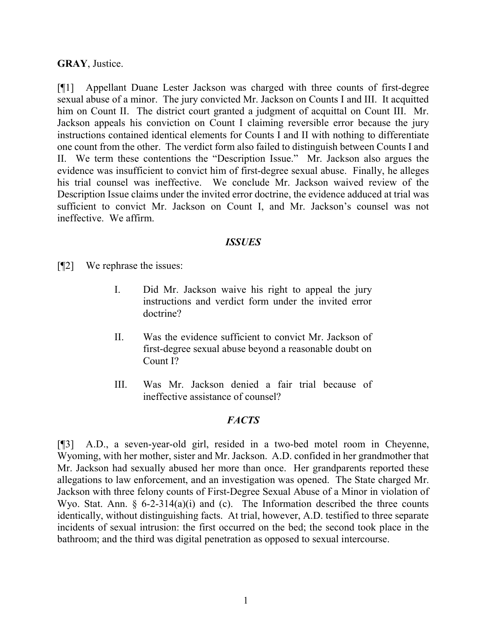#### GRAY, Justice.

[¶1] Appellant Duane Lester Jackson was charged with three counts of first-degree sexual abuse of a minor. The jury convicted Mr. Jackson on Counts I and III. It acquitted him on Count II. The district court granted a judgment of acquittal on Count III. Mr. Jackson appeals his conviction on Count I claiming reversible error because the jury instructions contained identical elements for Counts I and II with nothing to differentiate one count from the other. The verdict form also failed to distinguish between Counts I and II. We term these contentions the "Description Issue." Mr. Jackson also argues the evidence was insufficient to convict him of first-degree sexual abuse. Finally, he alleges his trial counsel was ineffective. We conclude Mr. Jackson waived review of the Description Issue claims under the invited error doctrine, the evidence adduced at trial was sufficient to convict Mr. Jackson on Count I, and Mr. Jackson's counsel was not ineffective. We affirm.

#### ISSUES

- [¶2] We rephrase the issues:
	- I. Did Mr. Jackson waive his right to appeal the jury instructions and verdict form under the invited error doctrine?
	- II. Was the evidence sufficient to convict Mr. Jackson of first-degree sexual abuse beyond a reasonable doubt on Count I?
	- III. Was Mr. Jackson denied a fair trial because of ineffective assistance of counsel?

#### **FACTS**

[¶3] A.D., a seven-year-old girl, resided in a two-bed motel room in Cheyenne, Wyoming, with her mother, sister and Mr. Jackson. A.D. confided in her grandmother that Mr. Jackson had sexually abused her more than once. Her grandparents reported these allegations to law enforcement, and an investigation was opened. The State charged Mr. Jackson with three felony counts of First-Degree Sexual Abuse of a Minor in violation of Wyo. Stat. Ann.  $\S$  6-2-314(a)(i) and (c). The Information described the three counts identically, without distinguishing facts. At trial, however, A.D. testified to three separate incidents of sexual intrusion: the first occurred on the bed; the second took place in the bathroom; and the third was digital penetration as opposed to sexual intercourse.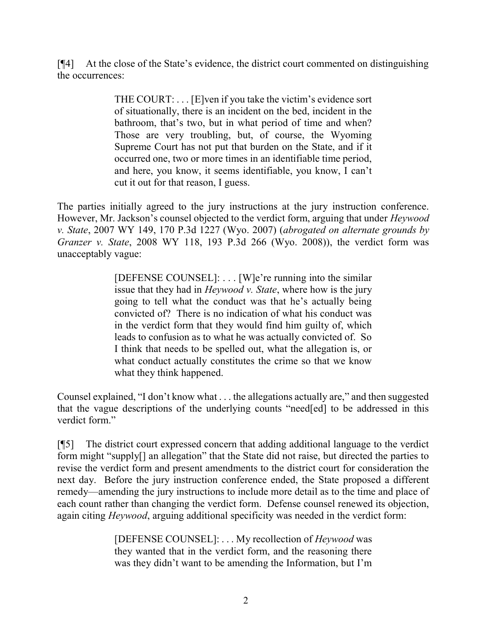[¶4] At the close of the State's evidence, the district court commented on distinguishing the occurrences:

> THE COURT: . . . [E]ven if you take the victim's evidence sort of situationally, there is an incident on the bed, incident in the bathroom, that's two, but in what period of time and when? Those are very troubling, but, of course, the Wyoming Supreme Court has not put that burden on the State, and if it occurred one, two or more times in an identifiable time period, and here, you know, it seems identifiable, you know, I can't cut it out for that reason, I guess.

The parties initially agreed to the jury instructions at the jury instruction conference. However, Mr. Jackson's counsel objected to the verdict form, arguing that under *Heywood* v. State, 2007 WY 149, 170 P.3d 1227 (Wyo. 2007) (abrogated on alternate grounds by Granzer v. State, 2008 WY 118, 193 P.3d 266 (Wyo. 2008)), the verdict form was unacceptably vague:

> [DEFENSE COUNSEL]: . . . [W]e're running into the similar issue that they had in Heywood v. State, where how is the jury going to tell what the conduct was that he's actually being convicted of? There is no indication of what his conduct was in the verdict form that they would find him guilty of, which leads to confusion as to what he was actually convicted of. So I think that needs to be spelled out, what the allegation is, or what conduct actually constitutes the crime so that we know what they think happened.

Counsel explained, "I don't know what . . . the allegations actually are," and then suggested that the vague descriptions of the underlying counts "need[ed] to be addressed in this verdict form."

[¶5] The district court expressed concern that adding additional language to the verdict form might "supply[] an allegation" that the State did not raise, but directed the parties to revise the verdict form and present amendments to the district court for consideration the next day. Before the jury instruction conference ended, the State proposed a different remedy—amending the jury instructions to include more detail as to the time and place of each count rather than changing the verdict form. Defense counsel renewed its objection, again citing *Heywood*, arguing additional specificity was needed in the verdict form:

> [DEFENSE COUNSEL]: ... My recollection of *Heywood* was they wanted that in the verdict form, and the reasoning there was they didn't want to be amending the Information, but I'm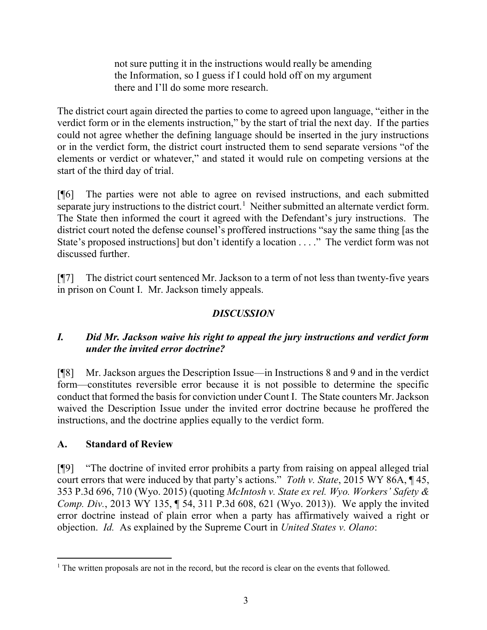not sure putting it in the instructions would really be amending the Information, so I guess if I could hold off on my argument there and I'll do some more research.

The district court again directed the parties to come to agreed upon language, "either in the verdict form or in the elements instruction," by the start of trial the next day. If the parties could not agree whether the defining language should be inserted in the jury instructions or in the verdict form, the district court instructed them to send separate versions "of the elements or verdict or whatever," and stated it would rule on competing versions at the start of the third day of trial.

[¶6] The parties were not able to agree on revised instructions, and each submitted separate jury instructions to the district court.<sup>1</sup> Neither submitted an alternate verdict form. The State then informed the court it agreed with the Defendant's jury instructions. The district court noted the defense counsel's proffered instructions "say the same thing [as the State's proposed instructions] but don't identify a location . . . ." The verdict form was not discussed further.

[¶7] The district court sentenced Mr. Jackson to a term of not less than twenty-five years in prison on Count I. Mr. Jackson timely appeals.

# DISCUSSION

# I. Did Mr. Jackson waive his right to appeal the jury instructions and verdict form under the invited error doctrine?

[¶8] Mr. Jackson argues the Description Issue—in Instructions 8 and 9 and in the verdict form—constitutes reversible error because it is not possible to determine the specific conduct that formed the basis for conviction under Count I. The State counters Mr. Jackson waived the Description Issue under the invited error doctrine because he proffered the instructions, and the doctrine applies equally to the verdict form.

# A. Standard of Review

[¶9] "The doctrine of invited error prohibits a party from raising on appeal alleged trial court errors that were induced by that party's actions." Toth v. State, 2015 WY 86A, 145, 353 P.3d 696, 710 (Wyo. 2015) (quoting McIntosh v. State ex rel. Wyo. Workers' Safety & Comp. Div., 2013 WY 135, ¶ 54, 311 P.3d 608, 621 (Wyo. 2013)). We apply the invited error doctrine instead of plain error when a party has affirmatively waived a right or objection. Id. As explained by the Supreme Court in United States v. Olano:

 $\overline{a}$  $<sup>1</sup>$  The written proposals are not in the record, but the record is clear on the events that followed.</sup>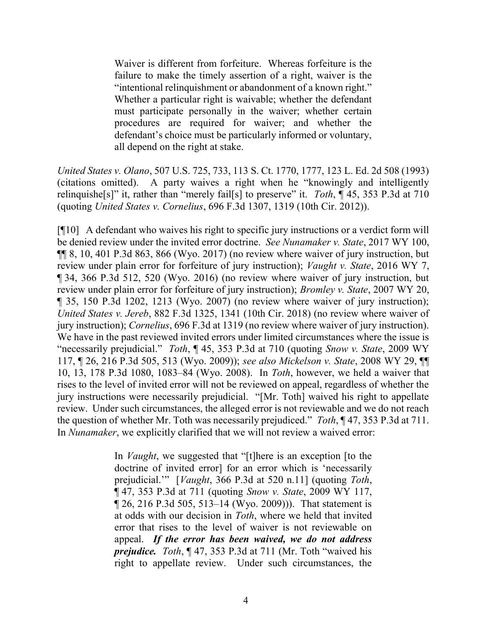Waiver is different from forfeiture. Whereas forfeiture is the failure to make the timely assertion of a right, waiver is the "intentional relinquishment or abandonment of a known right." Whether a particular right is waivable; whether the defendant must participate personally in the waiver; whether certain procedures are required for waiver; and whether the defendant's choice must be particularly informed or voluntary, all depend on the right at stake.

United States v. Olano, 507 U.S. 725, 733, 113 S. Ct. 1770, 1777, 123 L. Ed. 2d 508 (1993) (citations omitted). A party waives a right when he "knowingly and intelligently relinquishe<sup>[s]"</sup> it, rather than "merely fail<sup>[s]</sup> to preserve" it. *Toth*,  $\P$  45, 353 P.3d at 710 (quoting United States v. Cornelius, 696 F.3d 1307, 1319 (10th Cir. 2012)).

[¶10] A defendant who waives his right to specific jury instructions or a verdict form will be denied review under the invited error doctrine. See Nunamaker v. State, 2017 WY 100, ¶¶ 8, 10, 401 P.3d 863, 866 (Wyo. 2017) (no review where waiver of jury instruction, but review under plain error for forfeiture of jury instruction); *Vaught v. State*, 2016 WY 7, ¶ 34, 366 P.3d 512, 520 (Wyo. 2016) (no review where waiver of jury instruction, but review under plain error for forfeiture of jury instruction); *Bromley v. State*, 2007 WY 20, ¶ 35, 150 P.3d 1202, 1213 (Wyo. 2007) (no review where waiver of jury instruction); United States v. Jereb, 882 F.3d 1325, 1341 (10th Cir. 2018) (no review where waiver of jury instruction); Cornelius, 696 F.3d at 1319 (no review where waiver of jury instruction). We have in the past reviewed invited errors under limited circumstances where the issue is "necessarily prejudicial." Toth,  $\P$  45, 353 P.3d at 710 (quoting Snow v. State, 2009 WY 117, ¶ 26, 216 P.3d 505, 513 (Wyo. 2009)); see also Mickelson v. State, 2008 WY 29, ¶¶ 10, 13, 178 P.3d 1080, 1083–84 (Wyo. 2008). In Toth, however, we held a waiver that rises to the level of invited error will not be reviewed on appeal, regardless of whether the jury instructions were necessarily prejudicial. "[Mr. Toth] waived his right to appellate review. Under such circumstances, the alleged error is not reviewable and we do not reach the question of whether Mr. Toth was necessarily prejudiced." Toth,  $\P$  47, 353 P.3d at 711. In Nunamaker, we explicitly clarified that we will not review a waived error:

> In *Vaught*, we suggested that "[t]here is an exception [to the doctrine of invited error] for an error which is 'necessarily prejudicial." [Vaught, 366 P.3d at 520 n.11] (quoting Toth, ¶ 47, 353 P.3d at 711 (quoting Snow v. State, 2009 WY 117, ¶ 26, 216 P.3d 505, 513–14 (Wyo. 2009))). That statement is at odds with our decision in Toth, where we held that invited error that rises to the level of waiver is not reviewable on appeal. If the error has been waived, we do not address prejudice. Toth, ¶ 47, 353 P.3d at 711 (Mr. Toth "waived his right to appellate review. Under such circumstances, the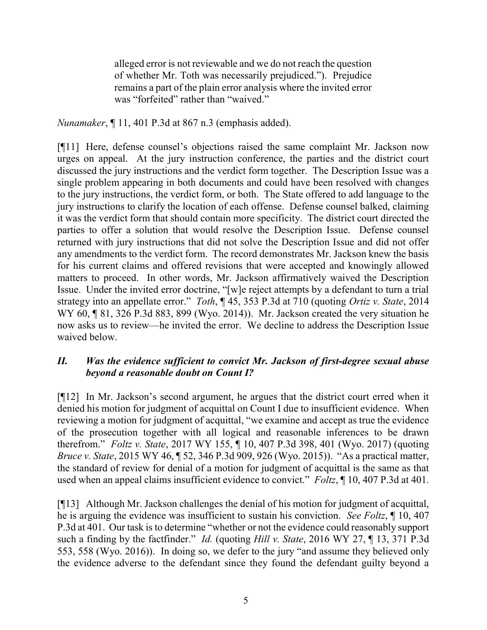alleged error is not reviewable and we do not reach the question of whether Mr. Toth was necessarily prejudiced."). Prejudice remains a part of the plain error analysis where the invited error was "forfeited" rather than "waived."

Nunamaker, ¶ 11, 401 P.3d at 867 n.3 (emphasis added).

[¶11] Here, defense counsel's objections raised the same complaint Mr. Jackson now urges on appeal. At the jury instruction conference, the parties and the district court discussed the jury instructions and the verdict form together. The Description Issue was a single problem appearing in both documents and could have been resolved with changes to the jury instructions, the verdict form, or both. The State offered to add language to the jury instructions to clarify the location of each offense. Defense counsel balked, claiming it was the verdict form that should contain more specificity. The district court directed the parties to offer a solution that would resolve the Description Issue. Defense counsel returned with jury instructions that did not solve the Description Issue and did not offer any amendments to the verdict form. The record demonstrates Mr. Jackson knew the basis for his current claims and offered revisions that were accepted and knowingly allowed matters to proceed. In other words, Mr. Jackson affirmatively waived the Description Issue. Under the invited error doctrine, "[w]e reject attempts by a defendant to turn a trial strategy into an appellate error." Toth, ¶ 45, 353 P.3d at 710 (quoting Ortiz v. State, 2014) WY 60, ¶ 81, 326 P.3d 883, 899 (Wyo. 2014)). Mr. Jackson created the very situation he now asks us to review—he invited the error. We decline to address the Description Issue waived below.

### II. Was the evidence sufficient to convict Mr. Jackson of first-degree sexual abuse beyond a reasonable doubt on Count I?

[¶12] In Mr. Jackson's second argument, he argues that the district court erred when it denied his motion for judgment of acquittal on Count I due to insufficient evidence. When reviewing a motion for judgment of acquittal, "we examine and accept as true the evidence of the prosecution together with all logical and reasonable inferences to be drawn therefrom." Foltz v. State, 2017 WY 155, ¶ 10, 407 P.3d 398, 401 (Wyo. 2017) (quoting Bruce v. State, 2015 WY 46, ¶ 52, 346 P.3d 909, 926 (Wyo. 2015)). "As a practical matter, the standard of review for denial of a motion for judgment of acquittal is the same as that used when an appeal claims insufficient evidence to convict." Foltz,  $\parallel$  10, 407 P.3d at 401.

[¶13] Although Mr. Jackson challenges the denial of his motion for judgment of acquittal, he is arguing the evidence was insufficient to sustain his conviction. See Foltz,  $\parallel$  10, 407 P.3d at 401. Our task is to determine "whether or not the evidence could reasonably support such a finding by the factfinder." *Id.* (quoting *Hill v. State, 2016 WY 27,* 13, 371 P.3d 553, 558 (Wyo. 2016)). In doing so, we defer to the jury "and assume they believed only the evidence adverse to the defendant since they found the defendant guilty beyond a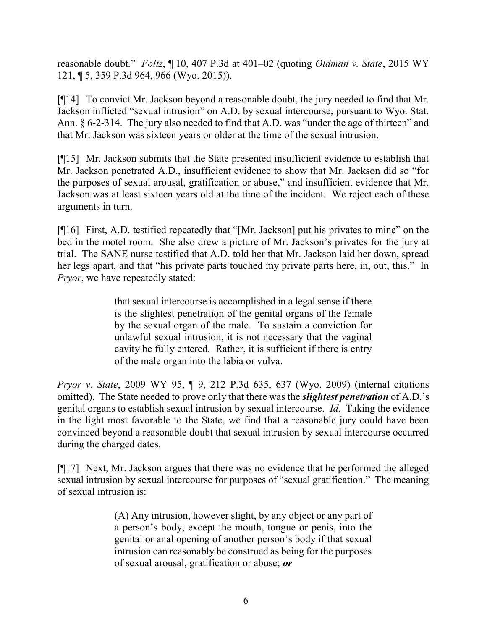reasonable doubt." Foltz, ¶ 10, 407 P.3d at 401–02 (quoting *Oldman v. State*, 2015 WY 121, ¶ 5, 359 P.3d 964, 966 (Wyo. 2015)).

[¶14] To convict Mr. Jackson beyond a reasonable doubt, the jury needed to find that Mr. Jackson inflicted "sexual intrusion" on A.D. by sexual intercourse, pursuant to Wyo. Stat. Ann. § 6-2-314. The jury also needed to find that A.D. was "under the age of thirteen" and that Mr. Jackson was sixteen years or older at the time of the sexual intrusion.

[¶15] Mr. Jackson submits that the State presented insufficient evidence to establish that Mr. Jackson penetrated A.D., insufficient evidence to show that Mr. Jackson did so "for the purposes of sexual arousal, gratification or abuse," and insufficient evidence that Mr. Jackson was at least sixteen years old at the time of the incident. We reject each of these arguments in turn.

[¶16] First, A.D. testified repeatedly that "[Mr. Jackson] put his privates to mine" on the bed in the motel room. She also drew a picture of Mr. Jackson's privates for the jury at trial. The SANE nurse testified that A.D. told her that Mr. Jackson laid her down, spread her legs apart, and that "his private parts touched my private parts here, in, out, this." In Pryor, we have repeatedly stated:

> that sexual intercourse is accomplished in a legal sense if there is the slightest penetration of the genital organs of the female by the sexual organ of the male. To sustain a conviction for unlawful sexual intrusion, it is not necessary that the vaginal cavity be fully entered. Rather, it is sufficient if there is entry of the male organ into the labia or vulva.

Pryor v. State, 2009 WY 95, ¶ 9, 212 P.3d 635, 637 (Wyo. 2009) (internal citations omitted). The State needed to prove only that there was the *slightest penetration* of A.D.'s genital organs to establish sexual intrusion by sexual intercourse. Id. Taking the evidence in the light most favorable to the State, we find that a reasonable jury could have been convinced beyond a reasonable doubt that sexual intrusion by sexual intercourse occurred during the charged dates.

[¶17] Next, Mr. Jackson argues that there was no evidence that he performed the alleged sexual intrusion by sexual intercourse for purposes of "sexual gratification." The meaning of sexual intrusion is:

> (A) Any intrusion, however slight, by any object or any part of a person's body, except the mouth, tongue or penis, into the genital or anal opening of another person's body if that sexual intrusion can reasonably be construed as being for the purposes of sexual arousal, gratification or abuse; or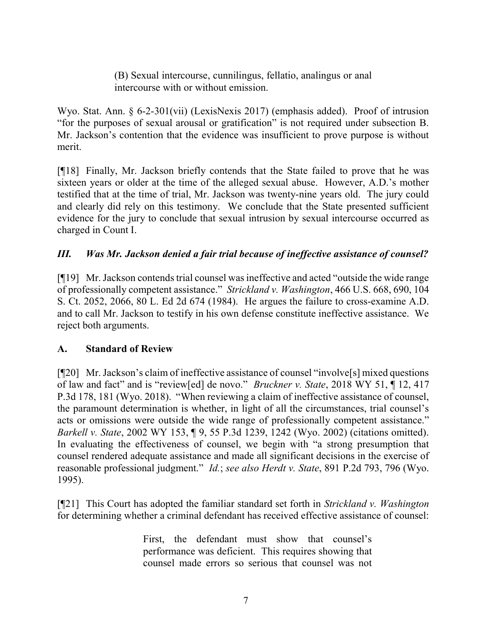(B) Sexual intercourse, cunnilingus, fellatio, analingus or anal intercourse with or without emission.

Wyo. Stat. Ann. § 6-2-301(vii) (LexisNexis 2017) (emphasis added). Proof of intrusion "for the purposes of sexual arousal or gratification" is not required under subsection B. Mr. Jackson's contention that the evidence was insufficient to prove purpose is without merit.

[¶18] Finally, Mr. Jackson briefly contends that the State failed to prove that he was sixteen years or older at the time of the alleged sexual abuse. However, A.D.'s mother testified that at the time of trial, Mr. Jackson was twenty-nine years old. The jury could and clearly did rely on this testimony. We conclude that the State presented sufficient evidence for the jury to conclude that sexual intrusion by sexual intercourse occurred as charged in Count I.

## III. Was Mr. Jackson denied a fair trial because of ineffective assistance of counsel?

[¶19] Mr. Jackson contends trial counsel was ineffective and acted "outside the wide range of professionally competent assistance." Strickland v. Washington, 466 U.S. 668, 690, 104 S. Ct. 2052, 2066, 80 L. Ed 2d 674 (1984). He argues the failure to cross-examine A.D. and to call Mr. Jackson to testify in his own defense constitute ineffective assistance. We reject both arguments.

### A. Standard of Review

[¶20] Mr. Jackson's claim of ineffective assistance of counsel "involve[s] mixed questions of law and fact" and is "review[ed] de novo." Bruckner v. State, 2018 WY 51, ¶ 12, 417 P.3d 178, 181 (Wyo. 2018). "When reviewing a claim of ineffective assistance of counsel, the paramount determination is whether, in light of all the circumstances, trial counsel's acts or omissions were outside the wide range of professionally competent assistance." Barkell v. State, 2002 WY 153, ¶ 9, 55 P.3d 1239, 1242 (Wyo. 2002) (citations omitted). In evaluating the effectiveness of counsel, we begin with "a strong presumption that counsel rendered adequate assistance and made all significant decisions in the exercise of reasonable professional judgment." *Id.*; see also Herdt v. State, 891 P.2d 793, 796 (Wyo. 1995).

 $[$ [[21] This Court has adopted the familiar standard set forth in Strickland v. Washington for determining whether a criminal defendant has received effective assistance of counsel:

> First, the defendant must show that counsel's performance was deficient. This requires showing that counsel made errors so serious that counsel was not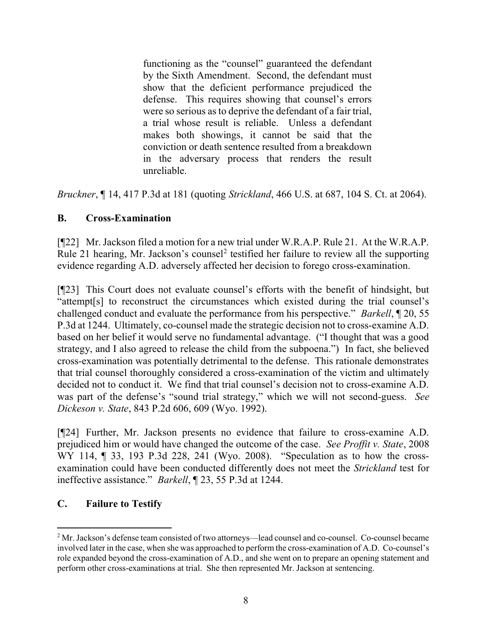functioning as the "counsel" guaranteed the defendant by the Sixth Amendment. Second, the defendant must show that the deficient performance prejudiced the defense. This requires showing that counsel's errors were so serious as to deprive the defendant of a fair trial, a trial whose result is reliable. Unless a defendant makes both showings, it cannot be said that the conviction or death sentence resulted from a breakdown in the adversary process that renders the result unreliable.

Bruckner, ¶ 14, 417 P.3d at 181 (quoting Strickland, 466 U.S. at 687, 104 S. Ct. at 2064).

# B. Cross-Examination

[¶22] Mr. Jackson filed a motion for a new trial under W.R.A.P. Rule 21. At the W.R.A.P. Rule 21 hearing, Mr. Jackson's counsel<sup>2</sup> testified her failure to review all the supporting evidence regarding A.D. adversely affected her decision to forego cross-examination.

[¶23] This Court does not evaluate counsel's efforts with the benefit of hindsight, but "attempt[s] to reconstruct the circumstances which existed during the trial counsel's challenged conduct and evaluate the performance from his perspective." *Barkell*, 1 20, 55 P.3d at 1244. Ultimately, co-counsel made the strategic decision not to cross-examine A.D. based on her belief it would serve no fundamental advantage. ("I thought that was a good strategy, and I also agreed to release the child from the subpoena.") In fact, she believed cross-examination was potentially detrimental to the defense. This rationale demonstrates that trial counsel thoroughly considered a cross-examination of the victim and ultimately decided not to conduct it. We find that trial counsel's decision not to cross-examine A.D. was part of the defense's "sound trial strategy," which we will not second-guess. See Dickeson v. State, 843 P.2d 606, 609 (Wyo. 1992).

[¶24] Further, Mr. Jackson presents no evidence that failure to cross-examine A.D. prejudiced him or would have changed the outcome of the case. See Proffit v. State, 2008 WY 114, ¶ 33, 193 P.3d 228, 241 (Wyo. 2008). "Speculation as to how the crossexamination could have been conducted differently does not meet the Strickland test for ineffective assistance." Barkell, ¶ 23, 55 P.3d at 1244.

# C. Failure to Testify

 $\overline{a}$ 

<sup>&</sup>lt;sup>2</sup> Mr. Jackson's defense team consisted of two attorneys—lead counsel and co-counsel. Co-counsel became involved later in the case, when she was approached to perform the cross-examination of A.D. Co-counsel's role expanded beyond the cross-examination of A.D., and she went on to prepare an opening statement and perform other cross-examinations at trial. She then represented Mr. Jackson at sentencing.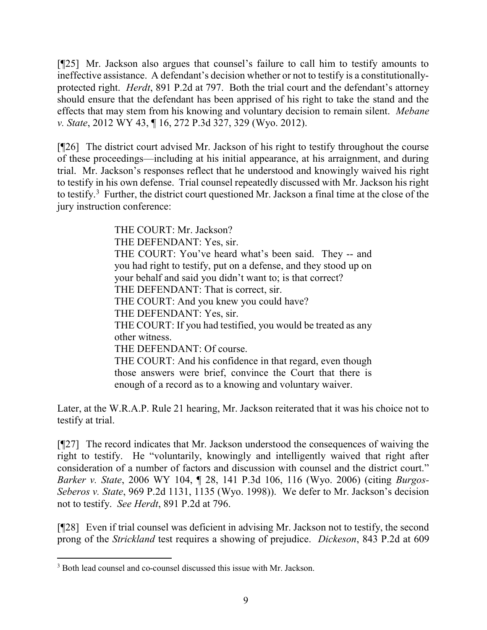[¶25] Mr. Jackson also argues that counsel's failure to call him to testify amounts to ineffective assistance. A defendant's decision whether or not to testify is a constitutionallyprotected right. Herdt, 891 P.2d at 797. Both the trial court and the defendant's attorney should ensure that the defendant has been apprised of his right to take the stand and the effects that may stem from his knowing and voluntary decision to remain silent. Mebane v. State, 2012 WY 43, ¶ 16, 272 P.3d 327, 329 (Wyo. 2012).

[¶26] The district court advised Mr. Jackson of his right to testify throughout the course of these proceedings—including at his initial appearance, at his arraignment, and during trial. Mr. Jackson's responses reflect that he understood and knowingly waived his right to testify in his own defense. Trial counsel repeatedly discussed with Mr. Jackson his right to testify.<sup>3</sup> Further, the district court questioned Mr. Jackson a final time at the close of the jury instruction conference:

> THE COURT: Mr. Jackson? THE DEFENDANT: Yes, sir. THE COURT: You've heard what's been said. They -- and you had right to testify, put on a defense, and they stood up on your behalf and said you didn't want to; is that correct? THE DEFENDANT: That is correct, sir. THE COURT: And you knew you could have? THE DEFENDANT: Yes, sir. THE COURT: If you had testified, you would be treated as any other witness. THE DEFENDANT: Of course. THE COURT: And his confidence in that regard, even though those answers were brief, convince the Court that there is enough of a record as to a knowing and voluntary waiver.

Later, at the W.R.A.P. Rule 21 hearing, Mr. Jackson reiterated that it was his choice not to testify at trial.

[¶27] The record indicates that Mr. Jackson understood the consequences of waiving the right to testify. He "voluntarily, knowingly and intelligently waived that right after consideration of a number of factors and discussion with counsel and the district court." Barker v. State, 2006 WY 104, ¶ 28, 141 P.3d 106, 116 (Wyo. 2006) (citing Burgos-Seberos v. State, 969 P.2d 1131, 1135 (Wyo. 1998)). We defer to Mr. Jackson's decision not to testify. See Herdt, 891 P.2d at 796.

[¶28] Even if trial counsel was deficient in advising Mr. Jackson not to testify, the second prong of the Strickland test requires a showing of prejudice. Dickeson, 843 P.2d at 609

 $\overline{a}$ 

<sup>&</sup>lt;sup>3</sup> Both lead counsel and co-counsel discussed this issue with Mr. Jackson.